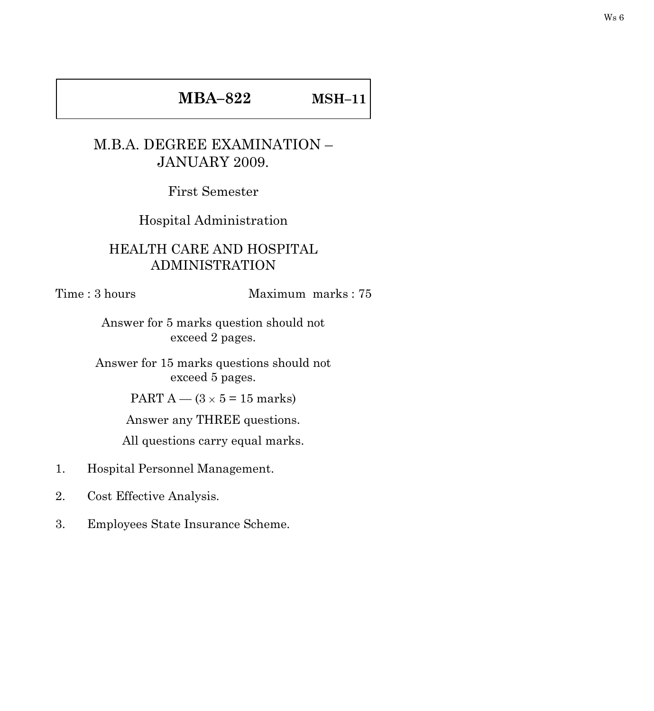## **MBA–822 MSH–11**

## M.B.A. DEGREE EXAMINATION – JANUARY 2009.

First Semester

Hospital Administration

## HEALTH CARE AND HOSPITAL ADMINISTRATION

## Time : 3 hours Maximum marks : 75

Answer for 5 marks question should not exceed 2 pages.

Answer for 15 marks questions should not exceed 5 pages.

PART A —  $(3 \times 5 = 15$  marks)

Answer any THREE questions.

All questions carry equal marks.

- 1. Hospital Personnel Management.
- 2. Cost Effective Analysis.
- 3. Employees State Insurance Scheme.